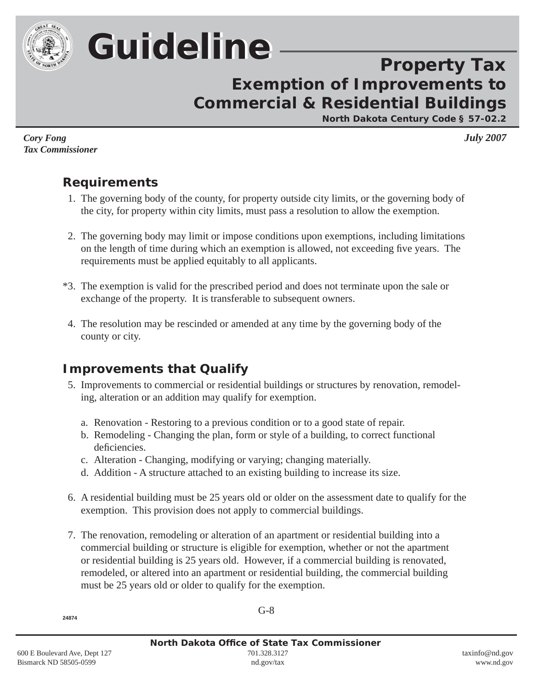

# *Guideline Guideline*

## **Property Tax Exemption of Improvements to Commercial & Residential Buildings**

**North Dakota Century Code § 57-02.2**

*Cory Fong July 2007 Tax Commissioner*

## **Requirements**

- 1. The governing body of the county, for property outside city limits, or the governing body of the city, for property within city limits, must pass a resolution to allow the exemption.
- 2. The governing body may limit or impose conditions upon exemptions, including limitations on the length of time during which an exemption is allowed, not exceeding five years. The requirements must be applied equitably to all applicants.
- \* 3. The exemption is valid for the prescribed period and does not terminate upon the sale or exchange of the property. It is transferable to subsequent owners.
- 4. The resolution may be rescinded or amended at any time by the governing body of the county or city.

## **Improvements that Qualify**

- 5. Improvements to commercial or residential buildings or structures by renovation, re modeling, alteration or an addition may qualify for exemption.
	- a. Renovation Restoring to a previous condition or to a good state of repair.
	- b. Remodeling Changing the plan, form or style of a building, to correct functional deficiencies.
	- c. Alteration Changing, modifying or varying; changing materially.
	- d. Addition A structure attached to an existing building to increase its size.
- 6. A residential building must be 25 years old or older on the assessment date to qualify for the exemption. This provision does not apply to commercial buildings.
- 7. The renovation, remodeling or alteration of an apartment or residential building into a commercial building or structure is eligible for exemption, whether or not the apartment or residential building is 25 years old. However, if a commercial building is renovated, remodeled, or altered into an apartment or residential building, the commercial building must be 25 years old or older to qualify for the exemption.

**2 4874**

G-8